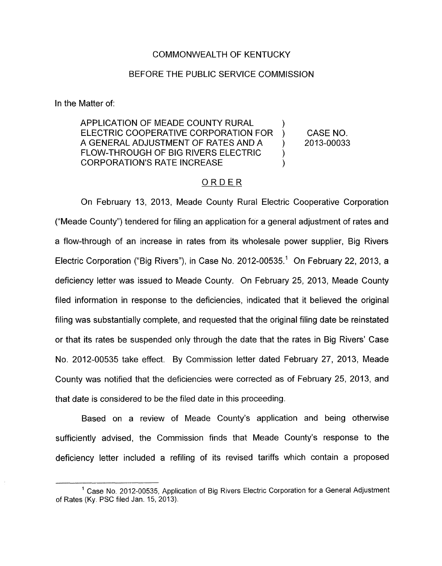### COMMONWEALTH OF KENTUCKY

#### BEFORE THE PUBLIC SERVICE COMMISSION

In the Matter of:

APPLICATION OF MEADE COUNTY RURAL ELECTRIC COOPERATIVE CORPORATION FOR ) CASE NO. A GENERAL ADJUSTMENT OF RATES AND A ) 2013-00033 FLOW-THROUGH OF BIG RIVERS ELECTRIC ) 1 CORPORATION'S RATE INCREASE )

## ORDER

On February 13, 2013, Meade County Rural Electric Cooperative Corporation ("Meade County") tendered for filing an application for a general adjustment of rates and a flow-through of an increase in rates from its wholesale power supplier, Big Rivers Electric Corporation ("Big Rivers"), in Case No. 2012-00535.' On February 22, 2013, a deficiency letter was issued to Meade County. On February 25, 2013, Meade County filed information in response to the deficiencies, indicated that it believed the original filing was substantially complete, and requested that the original filing date be reinstated or that its rates be suspended only through the date that the rates in Big Rivers' Case No. 2012-00535 take effect. By Commission letter dated February 27, 2013, Meade County was notified that the deficiencies were corrected as of February 25, 2013, and that date *is* considered to be the filed date in this proceeding.

Based on a review of Meade County's application and being otherwise sufficiently advised, the Commission finds that Meade County's response to the deficiency letter included a refiling of its revised tariffs which contain a proposed

<sup>&</sup>lt;sup>1</sup> Case No. 2012-00535, Application of Big Rivers Electric Corporation for a General Adjustment of Rates (Ky. PSC filed Jan. 15, 2013).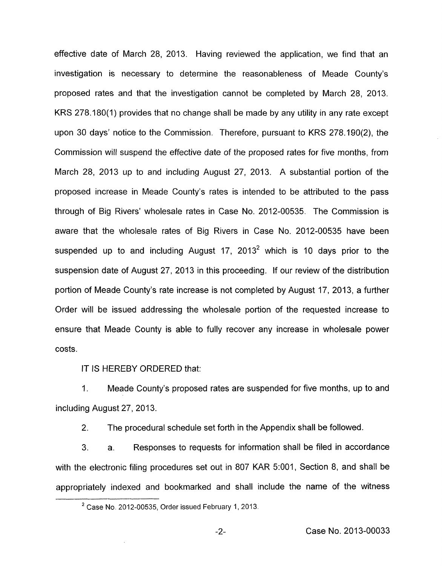effective date of March 28, 2013. Having reviewed the application, we find that an investigation is necessary to determine the reasonableness of Meade County's proposed rates and that the investigation cannot be completed by March 28, 2013. KRS 278.180(1) provides that no change shall be made by any utility in any rate except upon 30 days' notice to the Commission. Therefore, pursuant to KRS 278.190(2), the Commission will suspend the effective date of the proposed rates for five months, from March 28, 2013 up to and including August 27, 2013. A substantial portion of the proposed increase in Meade County's rates is intended to be attributed to the pass through of Big Rivers' wholesale rates in Case No. 2012-00535. The Commission is aware that the wholesale rates of Big Rivers in Case No. 2012-00535 have been suspended up to and including August  $17$ ,  $2013<sup>2</sup>$  which is 10 days prior to the suspension date of August 27, 2013 in this proceeding. If our review of the distribution portion of Meade County's rate increase is not completed by August 17, 2013, a further Order will be issued addressing the wholesale portion of the requested increase to ensure that Meade County is able to fully recover any increase in wholesale power costs.

IT IS HEREBY ORDERED that:

1. Meade County's proposed rates are suspended for five months, up to and including August 27, 2013.

2. The procedural schedule set forth in the Appendix shall be followed.

3. a. Responses to requests for information shall be filed in accordance with the electronic filing procedures set out in 807 KAR 5:001, Section 8, and shall be appropriately indexed and bookmarked and shall include the name of the witness

Case No. 2012-00535, Order issued February 1,2013. **<sup>2</sup>**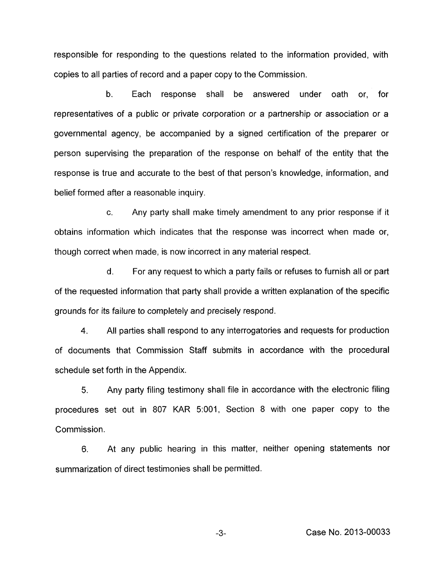responsible for responding to the questions related to the information provided, with copies to all parties of record and a paper copy to the Commission.

b. Each response shall be answered under oath or, for representatives of a public or private corporation or a partnership or association or a governmental agency, be accompanied by a signed certification of the preparer or person supervising the preparation of the response on behalf of the entity that the response is true and accurate to the best of that person's knowledge, information, and belief formed after a reasonable inquiry.

c. Any party shall make timely amendment to any prior response if it obtains information which indicates that the response was incorrect when made or, though correct when made, is now incorrect in any material respect.

d. For any request to which a party fails or refuses to furnish all or part of the requested information that party shall provide a written explanation of the specific grounds for its failure to completely and precisely respond.

**4.** All parties shall respond to any interrogatories and requests for production of documents that Commission Staff submits in accordance with the procedural schedule set forth in the Appendix.

5. Any party filing testimony shall file in accordance with the electronic filing procedures set out in 807 KAR 5:001, Section 8 with one paper copy to the Commission.

**6,** At any public hearing in this matter, neither opening statements nor summarization of direct testimonies shall be permitted.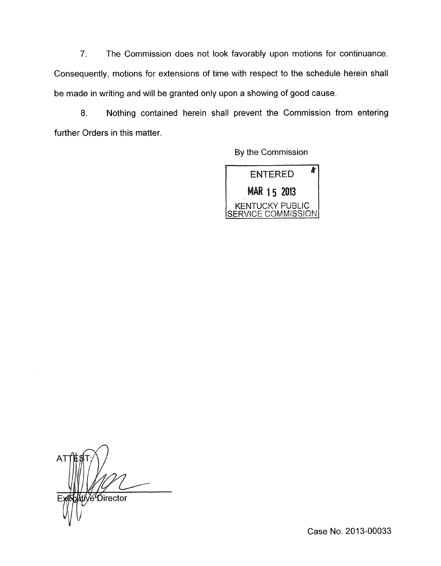7. The Commission does not look favorably upon motions for continuance. Consequently, motions for extensions of time with respect to the schedule herein shall be made in writing and will be granted only upon a showing of good cause.

8. Nothing contained herein shall prevent the Commission from entering further Orders in this matter.

By the Commission



AT POirector

Case No. 2013-00033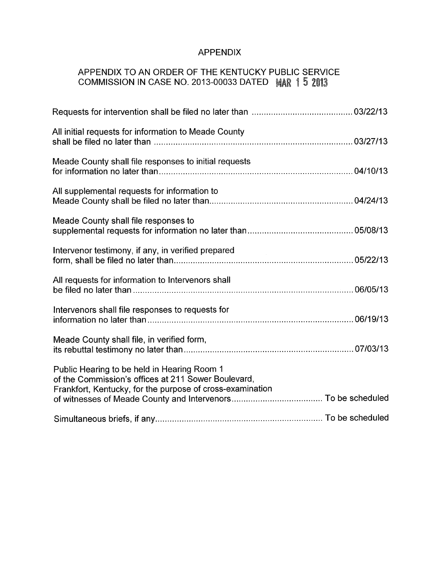## APPENDIX

# APPENDIX TO AN ORDER OF THE KENTUCKY PUBLIC SERVICE COMMISSION IN CASE NO. 2013-00033 DATED MAR 1 5 2013

| All initial requests for information to Meade County                                                                                                            |  |
|-----------------------------------------------------------------------------------------------------------------------------------------------------------------|--|
| Meade County shall file responses to initial requests                                                                                                           |  |
| All supplemental requests for information to                                                                                                                    |  |
| Meade County shall file responses to                                                                                                                            |  |
| Intervenor testimony, if any, in verified prepared                                                                                                              |  |
| All requests for information to Intervenors shall                                                                                                               |  |
| Intervenors shall file responses to requests for                                                                                                                |  |
| Meade County shall file, in verified form,                                                                                                                      |  |
| Public Hearing to be held in Hearing Room 1<br>of the Commission's offices at 211 Sower Boulevard,<br>Frankfort, Kentucky, for the purpose of cross-examination |  |
|                                                                                                                                                                 |  |